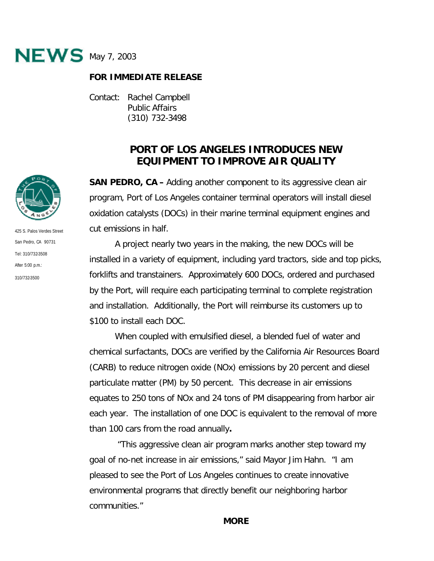

## **FOR IMMEDIATE RELEASE**

Contact: Rachel Campbell Public Affairs (310) 732-3498

## **PORT OF LOS ANGELES INTRODUCES NEW EQUIPMENT TO IMPROVE AIR QUALITY**

**SAN PEDRO, CA –** Adding another component to its aggressive clean air program, Port of Los Angeles container terminal operators will install diesel oxidation catalysts (DOCs) in their marine terminal equipment engines and cut emissions in half.

A project nearly two years in the making, the new DOCs will be installed in a variety of equipment, including yard tractors, side and top picks, forklifts and transtainers. Approximately 600 DOCs, ordered and purchased by the Port, will require each participating terminal to complete registration and installation. Additionally, the Port will reimburse its customers up to \$100 to install each DOC.

When coupled with emulsified diesel, a blended fuel of water and chemical surfactants, DOCs are verified by the California Air Resources Board (CARB) to reduce nitrogen oxide (NOx) emissions by 20 percent and diesel particulate matter (PM) by 50 percent. This decrease in air emissions equates to 250 tons of NOx and 24 tons of PM disappearing from harbor air each year. The installation of one DOC is equivalent to the removal of more than 100 cars from the road annually**.**

 "This aggressive clean air program marks another step toward my goal of no-net increase in air emissions," said Mayor Jim Hahn. "I am pleased to see the Port of Los Angeles continues to create innovative environmental programs that directly benefit our neighboring harbor communities."



425 S. Palos Verdes Street San Pedro, CA 90731 Tel: 310/732-3508 After 5:00 p.m.: 310/732-3500